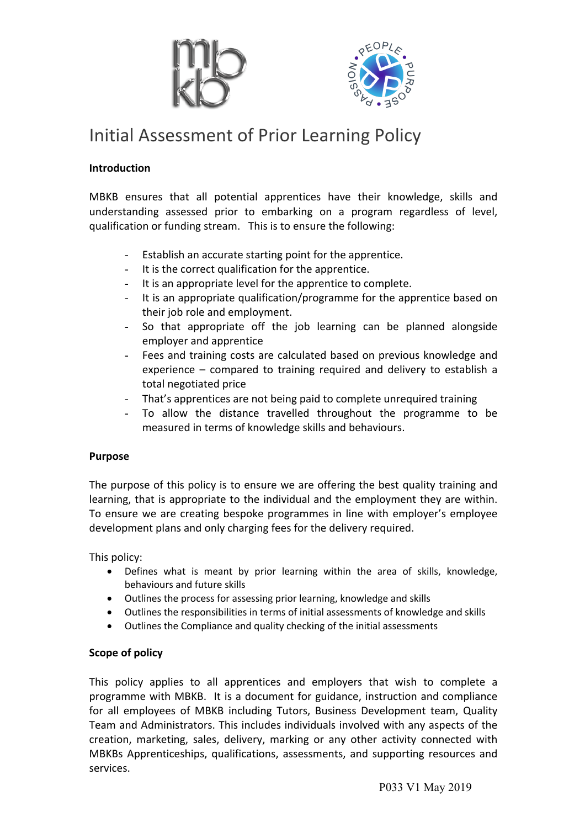



# Initial Assessment of Prior Learning Policy

### **Introduction**

MBKB ensures that all potential apprentices have their knowledge, skills and understanding assessed prior to embarking on a program regardless of level, qualification or funding stream. This is to ensure the following:

- Establish an accurate starting point for the apprentice.
- It is the correct qualification for the apprentice.
- It is an appropriate level for the apprentice to complete.
- It is an appropriate qualification/programme for the apprentice based on their job role and employment.
- So that appropriate off the job learning can be planned alongside employer and apprentice
- Fees and training costs are calculated based on previous knowledge and experience – compared to training required and delivery to establish a total negotiated price
- That's apprentices are not being paid to complete unrequired training
- To allow the distance travelled throughout the programme to be measured in terms of knowledge skills and behaviours.

### **Purpose**

The purpose of this policy is to ensure we are offering the best quality training and learning, that is appropriate to the individual and the employment they are within. To ensure we are creating bespoke programmes in line with employer's employee development plans and only charging fees for the delivery required.

This policy:

- Defines what is meant by prior learning within the area of skills, knowledge, behaviours and future skills
- Outlines the process for assessing prior learning, knowledge and skills
- Outlines the responsibilities in terms of initial assessments of knowledge and skills
- Outlines the Compliance and quality checking of the initial assessments

## **Scope of policy**

This policy applies to all apprentices and employers that wish to complete a programme with MBKB. It is a document for guidance, instruction and compliance for all employees of MBKB including Tutors, Business Development team, Quality Team and Administrators. This includes individuals involved with any aspects of the creation, marketing, sales, delivery, marking or any other activity connected with MBKBs Apprenticeships, qualifications, assessments, and supporting resources and services.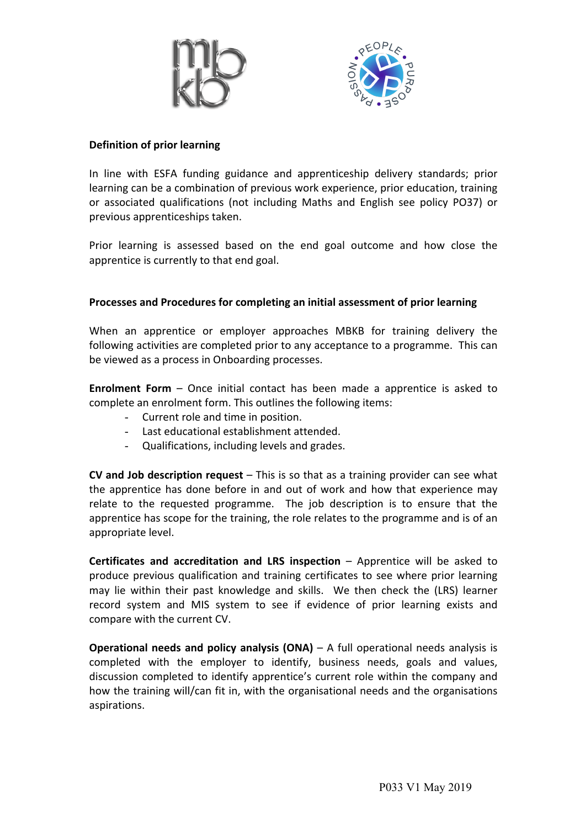



#### **Definition of prior learning**

In line with ESFA funding guidance and apprenticeship delivery standards; prior learning can be a combination of previous work experience, prior education, training or associated qualifications (not including Maths and English see policy PO37) or previous apprenticeships taken.

Prior learning is assessed based on the end goal outcome and how close the apprentice is currently to that end goal.

#### **Processes and Procedures for completing an initial assessment of prior learning**

When an apprentice or employer approaches MBKB for training delivery the following activities are completed prior to any acceptance to a programme. This can be viewed as a process in Onboarding processes.

**Enrolment Form** – Once initial contact has been made a apprentice is asked to complete an enrolment form. This outlines the following items:

- Current role and time in position.
- Last educational establishment attended.
- Qualifications, including levels and grades.

**CV and Job description request** – This is so that as a training provider can see what the apprentice has done before in and out of work and how that experience may relate to the requested programme. The job description is to ensure that the apprentice has scope for the training, the role relates to the programme and is of an appropriate level.

**Certificates and accreditation and LRS inspection** – Apprentice will be asked to produce previous qualification and training certificates to see where prior learning may lie within their past knowledge and skills. We then check the (LRS) learner record system and MIS system to see if evidence of prior learning exists and compare with the current CV.

**Operational needs and policy analysis (ONA)** – A full operational needs analysis is completed with the employer to identify, business needs, goals and values, discussion completed to identify apprentice's current role within the company and how the training will/can fit in, with the organisational needs and the organisations aspirations.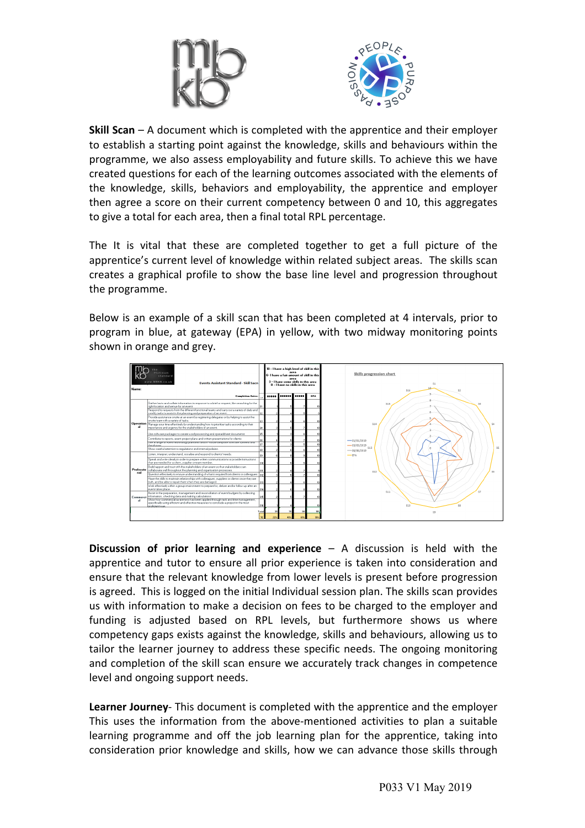



**Skill Scan** – A document which is completed with the apprentice and their employer to establish a starting point against the knowledge, skills and behaviours within the programme, we also assess employability and future skills. To achieve this we have created questions for each of the learning outcomes associated with the elements of the knowledge, skills, behaviors and employability, the apprentice and employer then agree a score on their current competency between 0 and 10, this aggregates to give a total for each area, then a final total RPL percentage.

The It is vital that these are completed together to get a full picture of the apprentice's current level of knowledge within related subject areas. The skills scan creates a graphical profile to show the base line level and progression throughout the programme.

Below is an example of a skill scan that has been completed at 4 intervals, prior to program in blue, at gateway (EPA) in yellow, with two midway monitoring points shown in orange and grey.



**Discussion of prior learning and experience** – A discussion is held with the apprentice and tutor to ensure all prior experience is taken into consideration and ensure that the relevant knowledge from lower levels is present before progression is agreed. This is logged on the initial Individual session plan. The skills scan provides us with information to make a decision on fees to be charged to the employer and funding is adjusted based on RPL levels, but furthermore shows us where competency gaps exists against the knowledge, skills and behaviours, allowing us to tailor the learner journey to address these specific needs. The ongoing monitoring and completion of the skill scan ensure we accurately track changes in competence level and ongoing support needs.

**Learner Journey**- This document is completed with the apprentice and the employer This uses the information from the above-mentioned activities to plan a suitable learning programme and off the job learning plan for the apprentice, taking into consideration prior knowledge and skills, how we can advance those skills through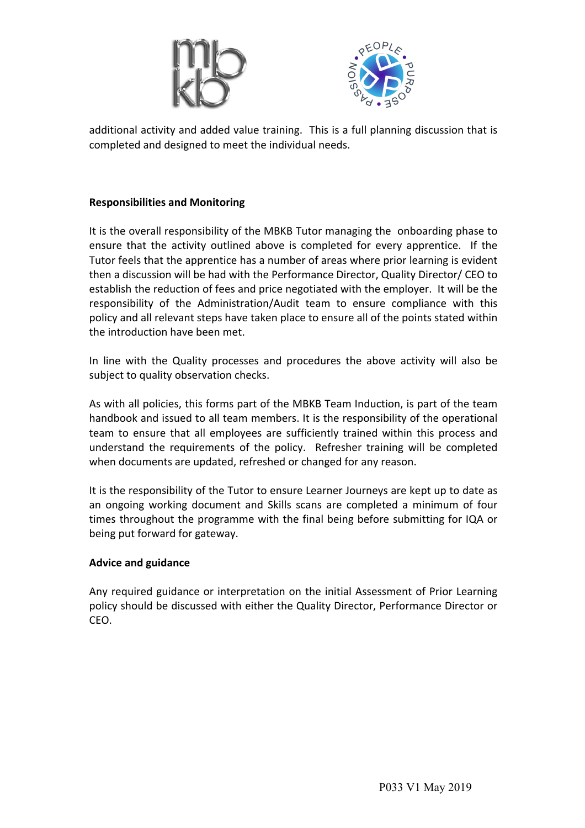



additional activity and added value training. This is a full planning discussion that is completed and designed to meet the individual needs.

### **Responsibilities and Monitoring**

It is the overall responsibility of the MBKB Tutor managing the onboarding phase to ensure that the activity outlined above is completed for every apprentice. If the Tutor feels that the apprentice has a number of areas where prior learning is evident then a discussion will be had with the Performance Director, Quality Director/ CEO to establish the reduction of fees and price negotiated with the employer. It will be the responsibility of the Administration/Audit team to ensure compliance with this policy and all relevant steps have taken place to ensure all of the points stated within the introduction have been met.

In line with the Quality processes and procedures the above activity will also be subject to quality observation checks.

As with all policies, this forms part of the MBKB Team Induction, is part of the team handbook and issued to all team members. It is the responsibility of the operational team to ensure that all employees are sufficiently trained within this process and understand the requirements of the policy. Refresher training will be completed when documents are updated, refreshed or changed for any reason.

It is the responsibility of the Tutor to ensure Learner Journeys are kept up to date as an ongoing working document and Skills scans are completed a minimum of four times throughout the programme with the final being before submitting for IQA or being put forward for gateway.

### **Advice and guidance**

Any required guidance or interpretation on the initial Assessment of Prior Learning policy should be discussed with either the Quality Director, Performance Director or CEO.